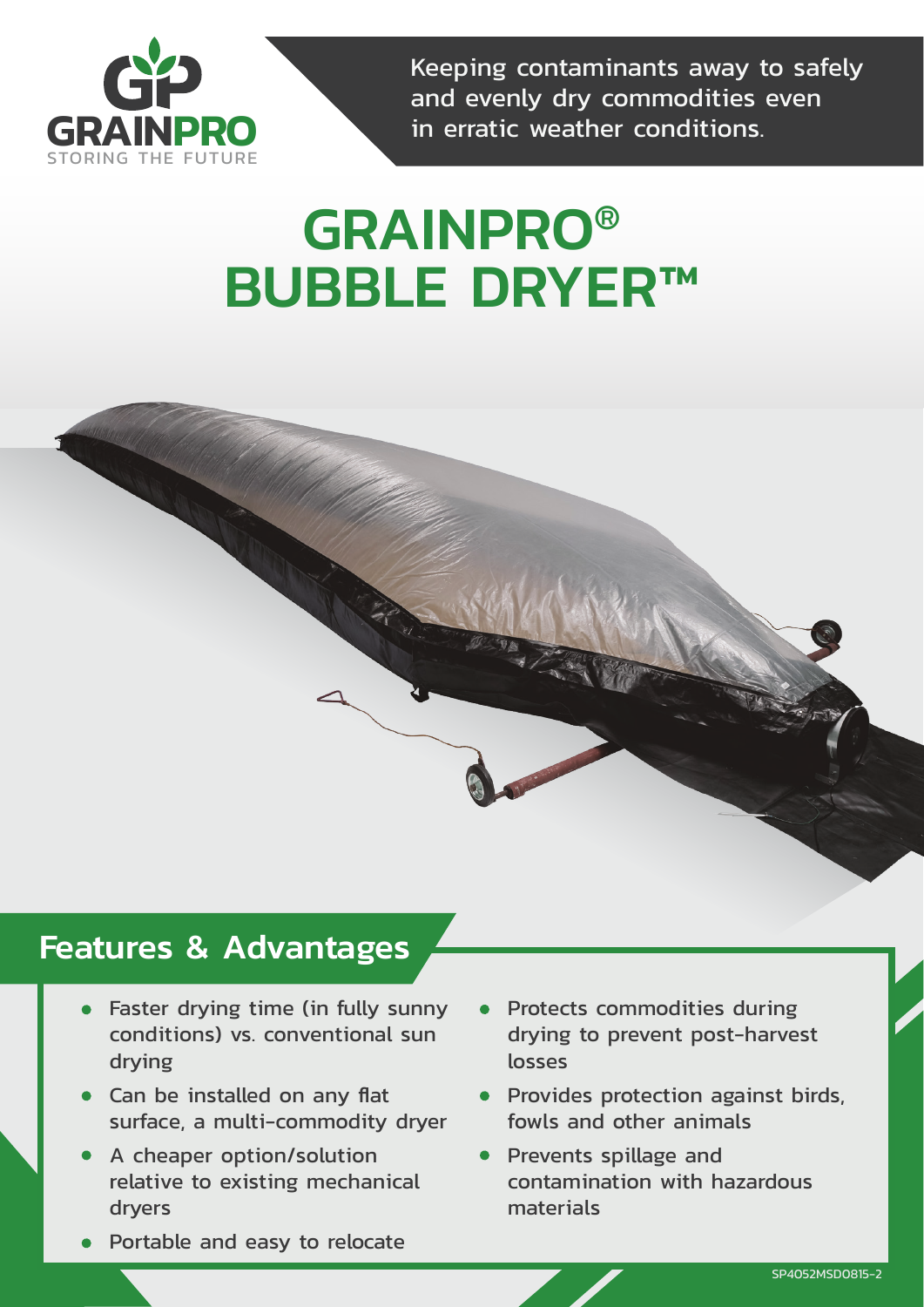

Keeping contaminants away to safely and evenly dry commodities even in erratic weather conditions.

# GRAINPRO® BUBBLE DRYER™

# Features & Advantages

- Faster drying time (in fully sunny conditions) vs. conventional sun drying
- Can be installed on any flat surface, a multi-commodity dryer
- A cheaper option/solution relative to existing mechanical dryers
- Portable and easy to relocate
- Protects commodities during drying to prevent post-harvest losses
- Provides protection against birds. fowls and other animals
- **•** Prevents spillage and contamination with hazardous materials